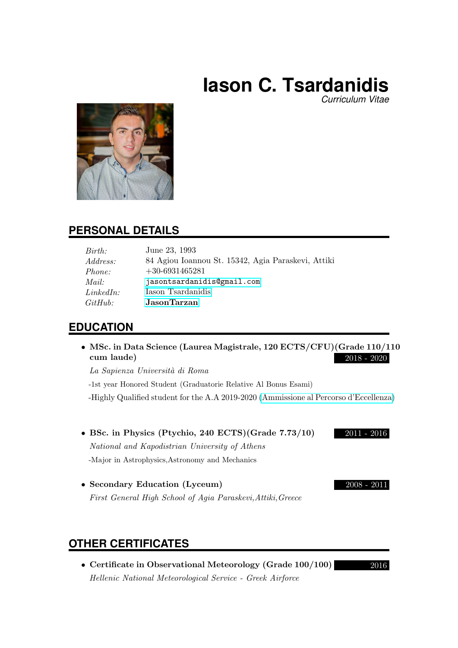# **Iason C. Tsardanidis**

*Curriculum Vitae*



# **PERSONAL DETAILS**

| Birth:                         | June 23, 1993                                      |
|--------------------------------|----------------------------------------------------|
| <i>Address:</i>                | 84 Agiou Ioannou St. 15342, Agia Paraskevi, Attiki |
| <i>Phone:</i>                  | $+30-6931465281$                                   |
| Mail:                          | jasontsardanidis@gmail.com                         |
| LinkedIn:                      | Iason Tsardanidis                                  |
| $G$ <i>i</i> t $H$ <i>ub</i> : | JasonTarzan                                        |

# **EDUCATION**

• MSc. in Data Science (Laurea Magistrale, 120 ECTS/CFU)(Grade 110/110 cum laude) 2018 - 2020

La Sapienza Universit`a di Roma

-1st year Honored Student (Graduatorie Relative Al Bonus Esami) -Highly Qualified student for the A.A 2019-2020 [\(Ammissione al Percorso d'Eccellenza\)](http://datascience.i3s.uniroma1.it/it/node/5559/student-honors)

- BSc. in Physics (Ptychio, 240 ECTS)(Grade 7.73/10) 2011 2016 National and Kapodistrian University of Athens -Major in Astrophysics,Astronomy and Mechanics
- Secondary Education (Lyceum) 2008 2011 First General High School of Agia Paraskevi,Attiki,Greece

# **OTHER CERTIFICATES**

• Certificate in Observational Meteorology (Grade 100/100) 2016 Hellenic National Meteorological Service - Greek Airforce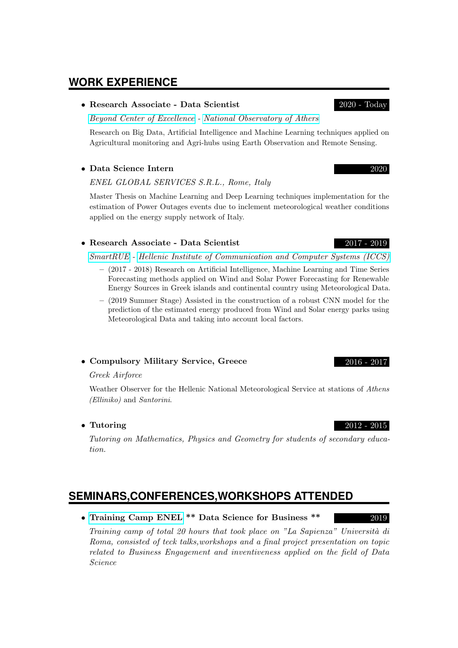# **WORK EXPERIENCE**

### • Research Associate - Data Scientist 2020 - Today

[Beyond Center of Excellence](http://beyond-eocenter.eu/) - [National Observatory of Athers](https://www.noa.gr/en/)

Research on Big Data, Artificial Intelligence and Machine Learning techniques applied on Agricultural monitoring and Agri-hubs using Earth Observation and Remote Sensing.

### • Data Science Intern 2020

### ENEL GLOBAL SERVICES S.R.L., Rome, Italy

Master Thesis on Machine Learning and Deep Learning techniques implementation for the estimation of Power Outages events due to inclement meteorological weather conditions applied on the energy supply network of Italy.

### • Research Associate - Data Scientist 2017 - 2019

[SmartRUE](http://www.smartrue.gr/en/home-2/) - [Hellenic Institute of Communication and Computer Systems \(ICCS\)](https://www.iccs.gr/en/?noredirect=en_US)

- (2017 2018) Research on Artificial Intelligence, Machine Learning and Time Series Forecasting methods applied on Wind and Solar Power Forecasting for Renewable Energy Sources in Greek islands and continental country using Meteorological Data.
- (2019 Summer Stage) Assisted in the construction of a robust CNN model for the prediction of the estimated energy produced from Wind and Solar energy parks using Meteorological Data and taking into account local factors.

### • Compulsory Military Service, Greece 2016 - 2017

### Greek Airforce

Weather Observer for the Hellenic National Meteorological Service at stations of Athens (Elliniko) and Santorini.

• Tutoring 2012 - 2015

Tutoring on Mathematics, Physics and Geometry for students of secondary education.

# **SEMINARS,CONFERENCES,WORKSHOPS ATTENDED**

• [Training Camp ENEL](https://www.youtube.com/watch?v=3zwC_hHbge0) \*\* Data Science for Business \*\* 2019

Training camp of total 20 hours that took place on "La Sapienza" Università di Roma, consisted of teck talks,workshops and a final project presentation on topic related to Business Engagement and inventiveness applied on the field of Data Science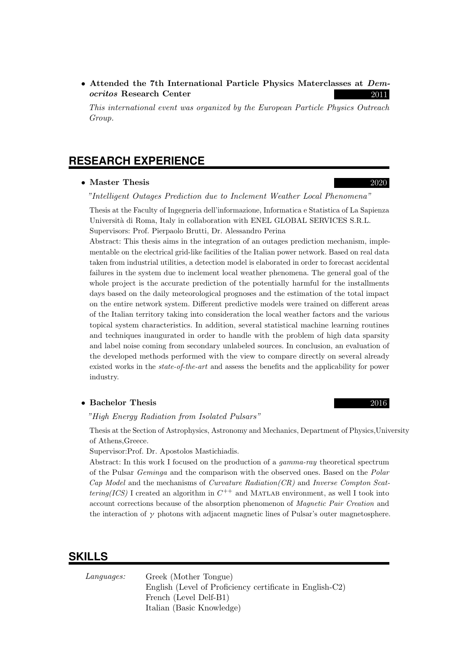• Attended the 7th International Particle Physics Materclasses at Democritos Research Center 2011

This international event was organized by the European Particle Physics Outreach Group.

### **RESEARCH EXPERIENCE**

### • Master Thesis 2020

"Intelligent Outages Prediction due to Inclement Weather Local Phenomena"

Thesis at the Faculty of Ingegneria dell'informazione, Informatica e Statistica of La Sapienza Università di Roma, Italy in collaboration with ENEL GLOBAL SERVICES S.R.L. Supervisors: Prof. Pierpaolo Brutti, Dr. Alessandro Perina

Abstract: This thesis aims in the integration of an outages prediction mechanism, implementable on the electrical grid-like facilities of the Italian power network. Based on real data taken from industrial utilities, a detection model is elaborated in order to forecast accidental failures in the system due to inclement local weather phenomena. The general goal of the whole project is the accurate prediction of the potentially harmful for the installments days based on the daily meteorological prognoses and the estimation of the total impact on the entire network system. Different predictive models were trained on different areas of the Italian territory taking into consideration the local weather factors and the various topical system characteristics. In addition, several statistical machine learning routines and techniques inaugurated in order to handle with the problem of high data sparsity and label noise coming from secondary unlabeled sources. In conclusion, an evaluation of the developed methods performed with the view to compare directly on several already existed works in the state-of-the-art and assess the benefits and the applicability for power industry.

### • Bachelor Thesis 2016

### "High Energy Radiation from Isolated Pulsars"

Thesis at the Section of Astrophysics, Astronomy and Mechanics, Department of Physics,University of Athens,Greece.

Supervisor:Prof. Dr. Apostolos Mastichiadis.

Abstract: In this work I focused on the production of a gamma-ray theoretical spectrum of the Pulsar Geminga and the comparison with the observed ones. Based on the Polar  $Cap$  Model and the mechanisms of *Curvature Radiation(CR)* and *Inverse Compton Scat*tering(ICS) I created an algorithm in  $C^{++}$  and MATLAB environment, as well I took into account corrections because of the absorption phenomenon of Magnetic Pair Creation and the interaction of  $\gamma$  photons with adjacent magnetic lines of Pulsar's outer magnetosphere.

### **SKILLS**

| Languages: | Greek (Mother Tongue)                                    |
|------------|----------------------------------------------------------|
|            | English (Level of Proficiency certificate in English-C2) |
|            | French (Level Delf-B1)                                   |
|            | Italian (Basic Knowledge)                                |